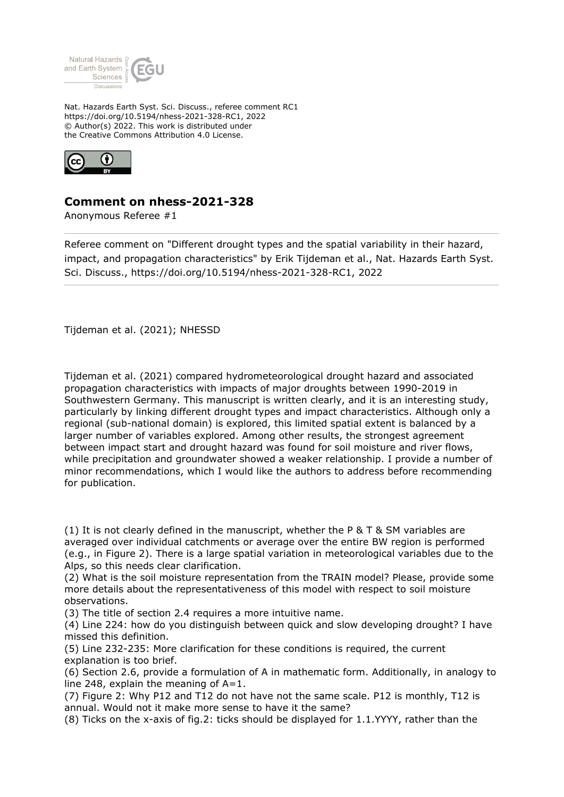

Nat. Hazards Earth Syst. Sci. Discuss., referee comment RC1 https://doi.org/10.5194/nhess-2021-328-RC1, 2022 © Author(s) 2022. This work is distributed under the Creative Commons Attribution 4.0 License.



## **Comment on nhess-2021-328**

Anonymous Referee #1

Referee comment on "Different drought types and the spatial variability in their hazard, impact, and propagation characteristics" by Erik Tijdeman et al., Nat. Hazards Earth Syst. Sci. Discuss., https://doi.org/10.5194/nhess-2021-328-RC1, 2022

Tijdeman et al. (2021); NHESSD

Tijdeman et al. (2021) compared hydrometeorological drought hazard and associated propagation characteristics with impacts of major droughts between 1990-2019 in Southwestern Germany. This manuscript is written clearly, and it is an interesting study, particularly by linking different drought types and impact characteristics. Although only a regional (sub-national domain) is explored, this limited spatial extent is balanced by a larger number of variables explored. Among other results, the strongest agreement between impact start and drought hazard was found for soil moisture and river flows, while precipitation and groundwater showed a weaker relationship. I provide a number of minor recommendations, which I would like the authors to address before recommending for publication.

(1) It is not clearly defined in the manuscript, whether the P  $\&$  T  $\&$  SM variables are averaged over individual catchments or average over the entire BW region is performed (e.g., in Figure 2). There is a large spatial variation in meteorological variables due to the Alps, so this needs clear clarification.

(2) What is the soil moisture representation from the TRAIN model? Please, provide some more details about the representativeness of this model with respect to soil moisture observations.

(3) The title of section 2.4 requires a more intuitive name.

(4) Line 224: how do you distinguish between quick and slow developing drought? I have missed this definition.

(5) Line 232-235: More clarification for these conditions is required, the current explanation is too brief.

(6) Section 2.6, provide a formulation of A in mathematic form. Additionally, in analogy to line 248, explain the meaning of  $A=1$ .

(7) Figure 2: Why P12 and T12 do not have not the same scale. P12 is monthly, T12 is annual. Would not it make more sense to have it the same?

(8) Ticks on the x-axis of fig.2: ticks should be displayed for 1.1.YYYY, rather than the